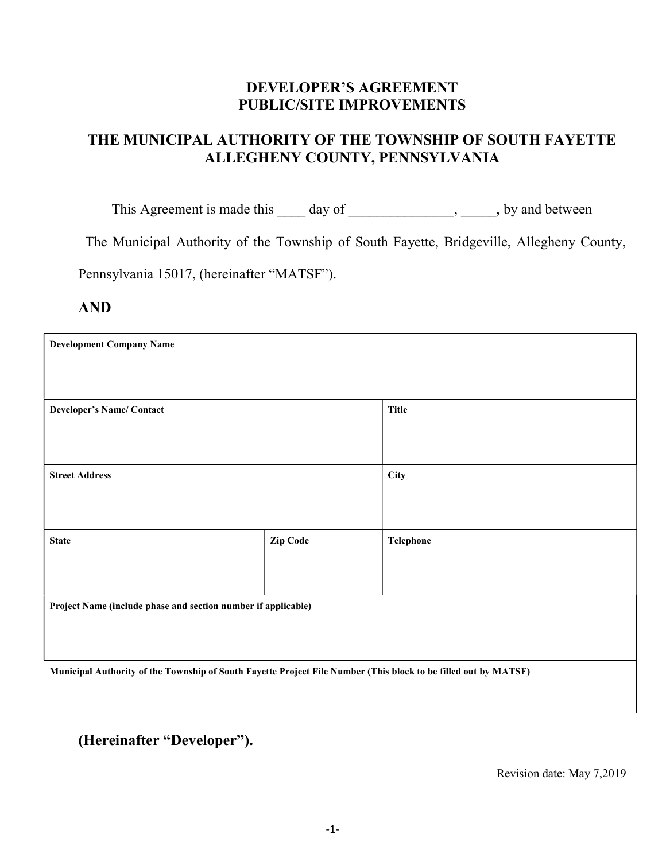# DEVELOPER'S AGREEMENT PUBLIC/SITE IMPROVEMENTS

# THE MUNICIPAL AUTHORITY OF THE TOWNSHIP OF SOUTH FAYETTE ALLEGHENY COUNTY, PENNSYLVANIA

This Agreement is made this \_\_\_\_ day of \_\_\_\_\_\_\_\_\_\_\_\_\_\_, \_\_\_\_\_, by and between

The Municipal Authority of the Township of South Fayette, Bridgeville, Allegheny County,

Pennsylvania 15017, (hereinafter "MATSF").

AND

| <b>Development Company Name</b>                                                                                 |          |              |  |  |
|-----------------------------------------------------------------------------------------------------------------|----------|--------------|--|--|
|                                                                                                                 |          |              |  |  |
|                                                                                                                 |          |              |  |  |
| <b>Developer's Name/ Contact</b>                                                                                |          | <b>Title</b> |  |  |
|                                                                                                                 |          |              |  |  |
|                                                                                                                 |          |              |  |  |
| <b>Street Address</b>                                                                                           |          | City         |  |  |
|                                                                                                                 |          |              |  |  |
|                                                                                                                 |          |              |  |  |
| <b>State</b>                                                                                                    | Zip Code | Telephone    |  |  |
|                                                                                                                 |          |              |  |  |
|                                                                                                                 |          |              |  |  |
| Project Name (include phase and section number if applicable)                                                   |          |              |  |  |
|                                                                                                                 |          |              |  |  |
|                                                                                                                 |          |              |  |  |
| Municipal Authority of the Township of South Fayette Project File Number (This block to be filled out by MATSF) |          |              |  |  |
|                                                                                                                 |          |              |  |  |

(Hereinafter "Developer").

Revision date: May 7,2019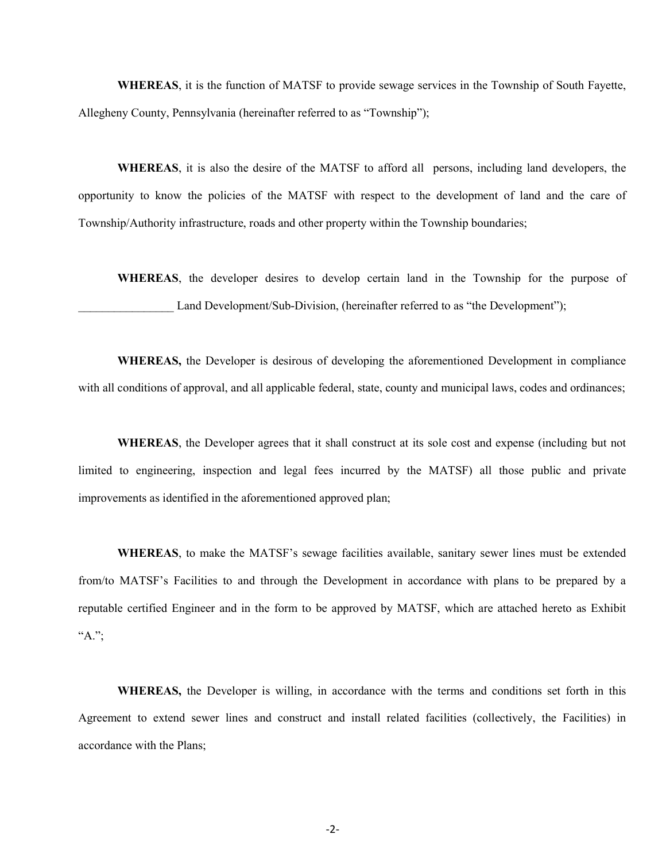WHEREAS, it is the function of MATSF to provide sewage services in the Township of South Fayette, Allegheny County, Pennsylvania (hereinafter referred to as "Township");

WHEREAS, it is also the desire of the MATSF to afford all persons, including land developers, the opportunity to know the policies of the MATSF with respect to the development of land and the care of Township/Authority infrastructure, roads and other property within the Township boundaries;

WHEREAS, the developer desires to develop certain land in the Township for the purpose of Land Development/Sub-Division, (hereinafter referred to as "the Development");

WHEREAS, the Developer is desirous of developing the aforementioned Development in compliance with all conditions of approval, and all applicable federal, state, county and municipal laws, codes and ordinances;

WHEREAS, the Developer agrees that it shall construct at its sole cost and expense (including but not limited to engineering, inspection and legal fees incurred by the MATSF) all those public and private improvements as identified in the aforementioned approved plan;

WHEREAS, to make the MATSF's sewage facilities available, sanitary sewer lines must be extended from/to MATSF's Facilities to and through the Development in accordance with plans to be prepared by a reputable certified Engineer and in the form to be approved by MATSF, which are attached hereto as Exhibit  $A$ .":

WHEREAS, the Developer is willing, in accordance with the terms and conditions set forth in this Agreement to extend sewer lines and construct and install related facilities (collectively, the Facilities) in accordance with the Plans;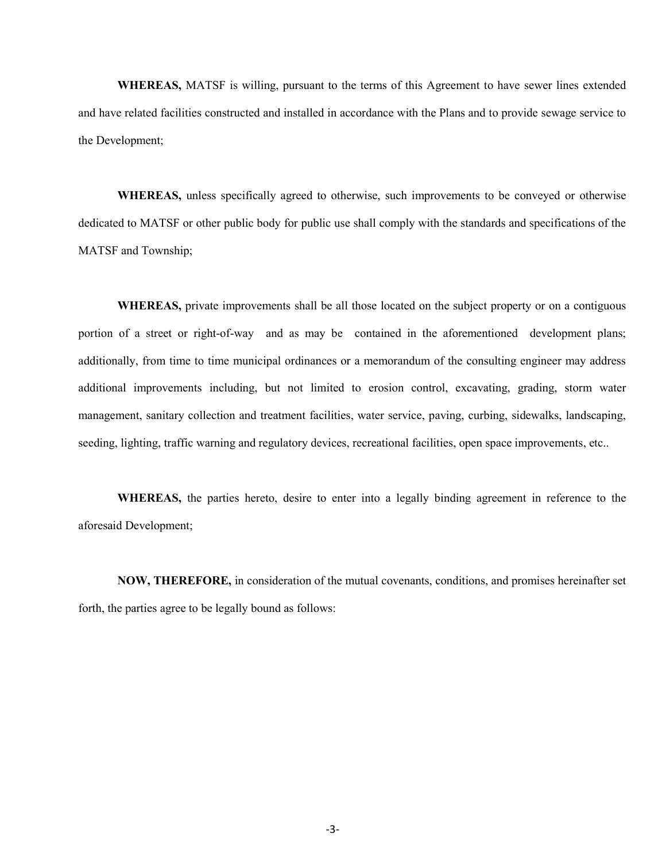WHEREAS, MATSF is willing, pursuant to the terms of this Agreement to have sewer lines extended and have related facilities constructed and installed in accordance with the Plans and to provide sewage service to the Development;

WHEREAS, unless specifically agreed to otherwise, such improvements to be conveyed or otherwise dedicated to MATSF or other public body for public use shall comply with the standards and specifications of the MATSF and Township;

WHEREAS, private improvements shall be all those located on the subject property or on a contiguous portion of a street or right-of-way and as may be contained in the aforementioned development plans; additionally, from time to time municipal ordinances or a memorandum of the consulting engineer may address additional improvements including, but not limited to erosion control, excavating, grading, storm water management, sanitary collection and treatment facilities, water service, paving, curbing, sidewalks, landscaping, seeding, lighting, traffic warning and regulatory devices, recreational facilities, open space improvements, etc..

WHEREAS, the parties hereto, desire to enter into a legally binding agreement in reference to the aforesaid Development;

NOW, THEREFORE, in consideration of the mutual covenants, conditions, and promises hereinafter set forth, the parties agree to be legally bound as follows: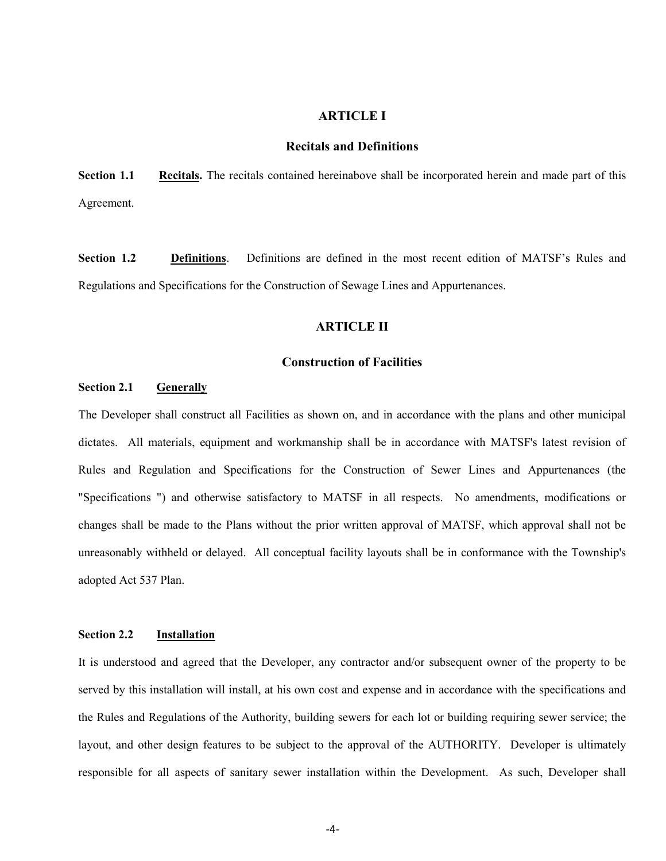# ARTICLE I

# Recitals and Definitions

Section 1.1 Recitals. The recitals contained hereinabove shall be incorporated herein and made part of this Agreement.

Section 1.2 Definitions. Definitions are defined in the most recent edition of MATSF's Rules and Regulations and Specifications for the Construction of Sewage Lines and Appurtenances.

# ARTICLE II

### Construction of Facilities

# Section 2.1 Generally

The Developer shall construct all Facilities as shown on, and in accordance with the plans and other municipal dictates. All materials, equipment and workmanship shall be in accordance with MATSF's latest revision of Rules and Regulation and Specifications for the Construction of Sewer Lines and Appurtenances (the "Specifications ") and otherwise satisfactory to MATSF in all respects. No amendments, modifications or changes shall be made to the Plans without the prior written approval of MATSF, which approval shall not be unreasonably withheld or delayed. All conceptual facility layouts shall be in conformance with the Township's adopted Act 537 Plan.

# Section 2.2 Installation

It is understood and agreed that the Developer, any contractor and/or subsequent owner of the property to be served by this installation will install, at his own cost and expense and in accordance with the specifications and the Rules and Regulations of the Authority, building sewers for each lot or building requiring sewer service; the layout, and other design features to be subject to the approval of the AUTHORITY. Developer is ultimately responsible for all aspects of sanitary sewer installation within the Development. As such, Developer shall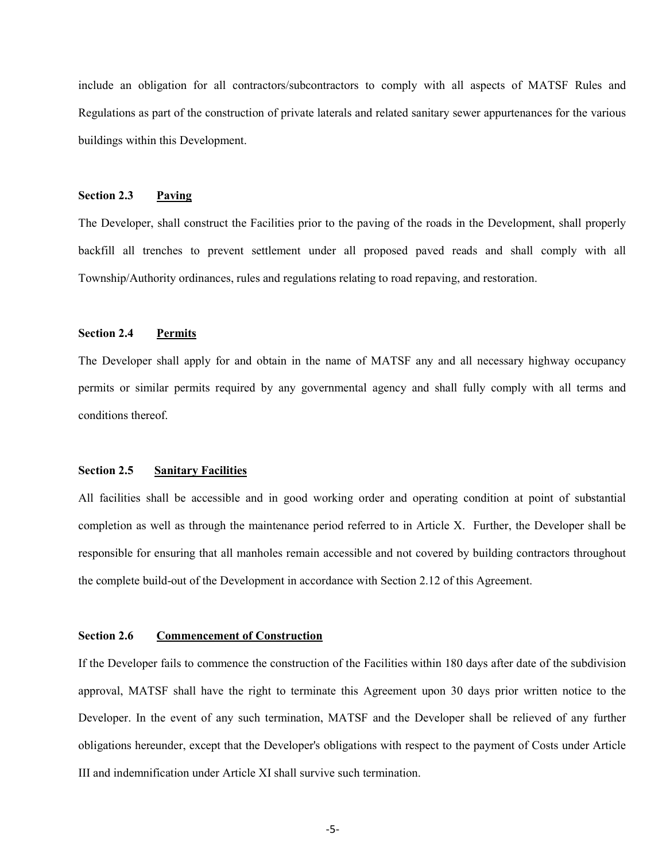include an obligation for all contractors/subcontractors to comply with all aspects of MATSF Rules and Regulations as part of the construction of private laterals and related sanitary sewer appurtenances for the various buildings within this Development.

## Section 2.3 Paving

The Developer, shall construct the Facilities prior to the paving of the roads in the Development, shall properly backfill all trenches to prevent settlement under all proposed paved reads and shall comply with all Township/Authority ordinances, rules and regulations relating to road repaving, and restoration.

# Section 2.4 Permits

The Developer shall apply for and obtain in the name of MATSF any and all necessary highway occupancy permits or similar permits required by any governmental agency and shall fully comply with all terms and conditions thereof.

#### Section 2.5 Sanitary Facilities

All facilities shall be accessible and in good working order and operating condition at point of substantial completion as well as through the maintenance period referred to in Article X. Further, the Developer shall be responsible for ensuring that all manholes remain accessible and not covered by building contractors throughout the complete build-out of the Development in accordance with Section 2.12 of this Agreement.

# Section 2.6 Commencement of Construction

If the Developer fails to commence the construction of the Facilities within 180 days after date of the subdivision approval, MATSF shall have the right to terminate this Agreement upon 30 days prior written notice to the Developer. In the event of any such termination, MATSF and the Developer shall be relieved of any further obligations hereunder, except that the Developer's obligations with respect to the payment of Costs under Article III and indemnification under Article XI shall survive such termination.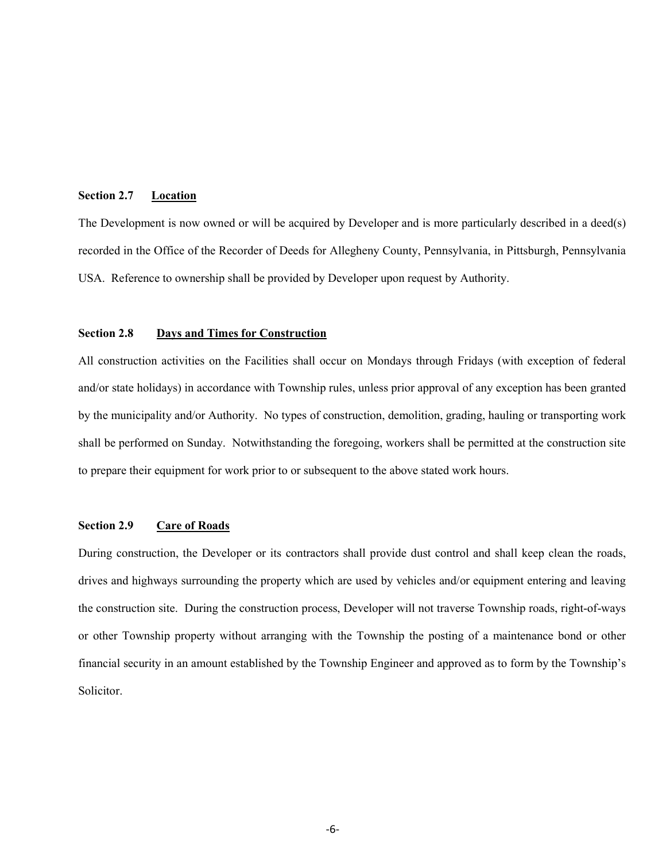## Section 2.7 Location

The Development is now owned or will be acquired by Developer and is more particularly described in a deed(s) recorded in the Office of the Recorder of Deeds for Allegheny County, Pennsylvania, in Pittsburgh, Pennsylvania USA. Reference to ownership shall be provided by Developer upon request by Authority.

# Section 2.8 Days and Times for Construction

All construction activities on the Facilities shall occur on Mondays through Fridays (with exception of federal and/or state holidays) in accordance with Township rules, unless prior approval of any exception has been granted by the municipality and/or Authority. No types of construction, demolition, grading, hauling or transporting work shall be performed on Sunday. Notwithstanding the foregoing, workers shall be permitted at the construction site to prepare their equipment for work prior to or subsequent to the above stated work hours.

### Section 2.9 Care of Roads

During construction, the Developer or its contractors shall provide dust control and shall keep clean the roads, drives and highways surrounding the property which are used by vehicles and/or equipment entering and leaving the construction site. During the construction process, Developer will not traverse Township roads, right-of-ways or other Township property without arranging with the Township the posting of a maintenance bond or other financial security in an amount established by the Township Engineer and approved as to form by the Township's Solicitor.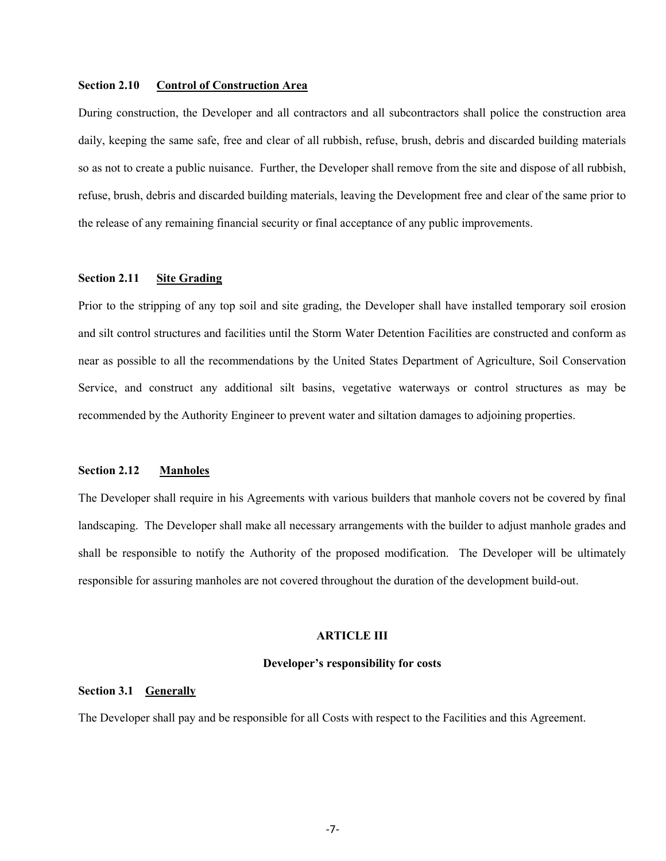### Section 2.10 Control of Construction Area

During construction, the Developer and all contractors and all subcontractors shall police the construction area daily, keeping the same safe, free and clear of all rubbish, refuse, brush, debris and discarded building materials so as not to create a public nuisance. Further, the Developer shall remove from the site and dispose of all rubbish, refuse, brush, debris and discarded building materials, leaving the Development free and clear of the same prior to the release of any remaining financial security or final acceptance of any public improvements.

# Section 2.11 Site Grading

Prior to the stripping of any top soil and site grading, the Developer shall have installed temporary soil erosion and silt control structures and facilities until the Storm Water Detention Facilities are constructed and conform as near as possible to all the recommendations by the United States Department of Agriculture, Soil Conservation Service, and construct any additional silt basins, vegetative waterways or control structures as may be recommended by the Authority Engineer to prevent water and siltation damages to adjoining properties.

### Section 2.12 Manholes

The Developer shall require in his Agreements with various builders that manhole covers not be covered by final landscaping. The Developer shall make all necessary arrangements with the builder to adjust manhole grades and shall be responsible to notify the Authority of the proposed modification. The Developer will be ultimately responsible for assuring manholes are not covered throughout the duration of the development build-out.

# ARTICLE III

#### Developer's responsibility for costs

# Section 3.1 Generally

The Developer shall pay and be responsible for all Costs with respect to the Facilities and this Agreement.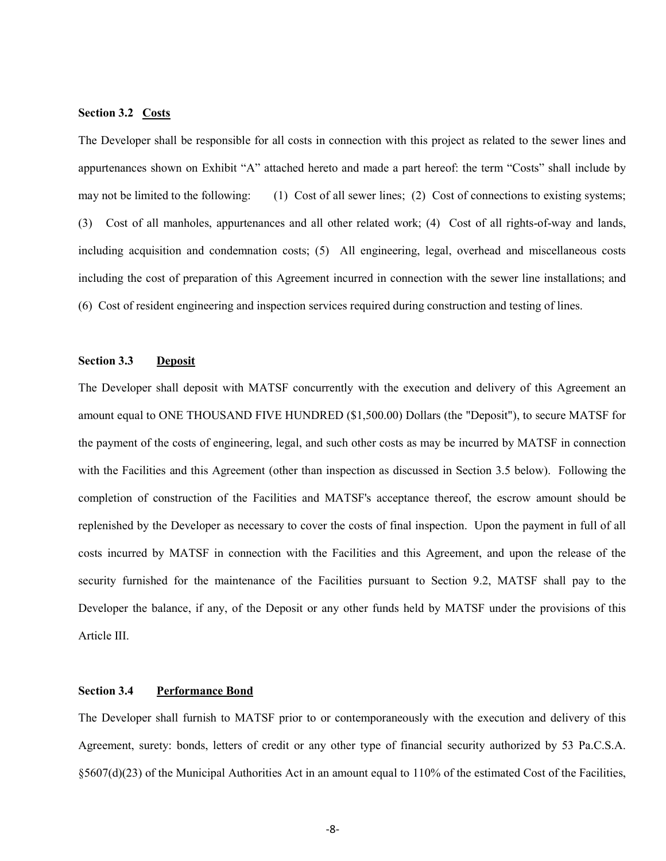# Section 3.2 Costs

The Developer shall be responsible for all costs in connection with this project as related to the sewer lines and appurtenances shown on Exhibit "A" attached hereto and made a part hereof: the term "Costs" shall include by may not be limited to the following: (1) Cost of all sewer lines; (2) Cost of connections to existing systems; (3) Cost of all manholes, appurtenances and all other related work; (4) Cost of all rights-of-way and lands, including acquisition and condemnation costs; (5) All engineering, legal, overhead and miscellaneous costs including the cost of preparation of this Agreement incurred in connection with the sewer line installations; and (6) Cost of resident engineering and inspection services required during construction and testing of lines.

# Section 3.3 Deposit

The Developer shall deposit with MATSF concurrently with the execution and delivery of this Agreement an amount equal to ONE THOUSAND FIVE HUNDRED (\$1,500.00) Dollars (the "Deposit"), to secure MATSF for the payment of the costs of engineering, legal, and such other costs as may be incurred by MATSF in connection with the Facilities and this Agreement (other than inspection as discussed in Section 3.5 below). Following the completion of construction of the Facilities and MATSF's acceptance thereof, the escrow amount should be replenished by the Developer as necessary to cover the costs of final inspection. Upon the payment in full of all costs incurred by MATSF in connection with the Facilities and this Agreement, and upon the release of the security furnished for the maintenance of the Facilities pursuant to Section 9.2, MATSF shall pay to the Developer the balance, if any, of the Deposit or any other funds held by MATSF under the provisions of this Article III.

# Section 3.4 Performance Bond

The Developer shall furnish to MATSF prior to or contemporaneously with the execution and delivery of this Agreement, surety: bonds, letters of credit or any other type of financial security authorized by 53 Pa.C.S.A. §5607(d)(23) of the Municipal Authorities Act in an amount equal to 110% of the estimated Cost of the Facilities,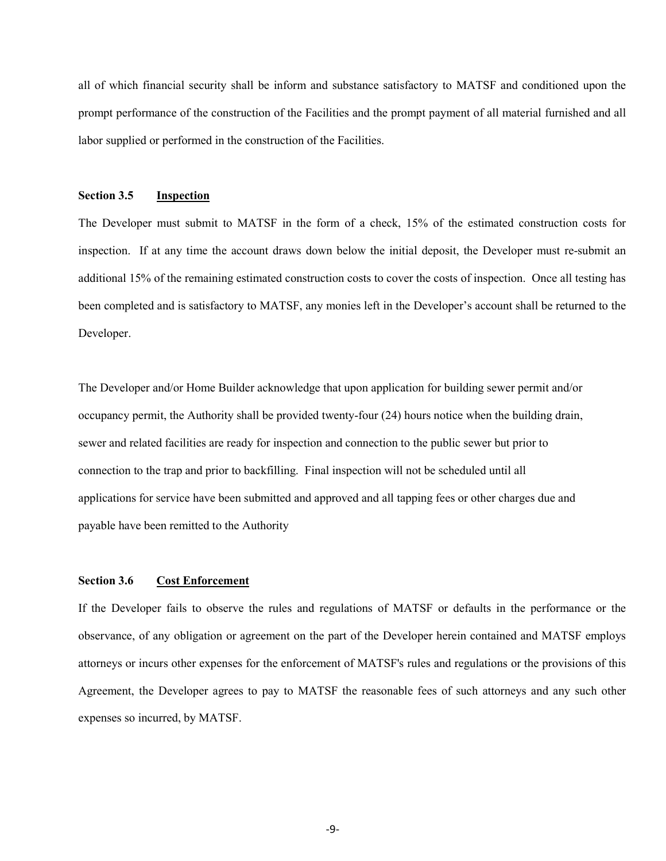all of which financial security shall be inform and substance satisfactory to MATSF and conditioned upon the prompt performance of the construction of the Facilities and the prompt payment of all material furnished and all labor supplied or performed in the construction of the Facilities.

## Section 3.5 Inspection

The Developer must submit to MATSF in the form of a check, 15% of the estimated construction costs for inspection. If at any time the account draws down below the initial deposit, the Developer must re-submit an additional 15% of the remaining estimated construction costs to cover the costs of inspection. Once all testing has been completed and is satisfactory to MATSF, any monies left in the Developer's account shall be returned to the Developer.

The Developer and/or Home Builder acknowledge that upon application for building sewer permit and/or occupancy permit, the Authority shall be provided twenty-four (24) hours notice when the building drain, sewer and related facilities are ready for inspection and connection to the public sewer but prior to connection to the trap and prior to backfilling. Final inspection will not be scheduled until all applications for service have been submitted and approved and all tapping fees or other charges due and payable have been remitted to the Authority

# Section 3.6 Cost Enforcement

If the Developer fails to observe the rules and regulations of MATSF or defaults in the performance or the observance, of any obligation or agreement on the part of the Developer herein contained and MATSF employs attorneys or incurs other expenses for the enforcement of MATSF's rules and regulations or the provisions of this Agreement, the Developer agrees to pay to MATSF the reasonable fees of such attorneys and any such other expenses so incurred, by MATSF.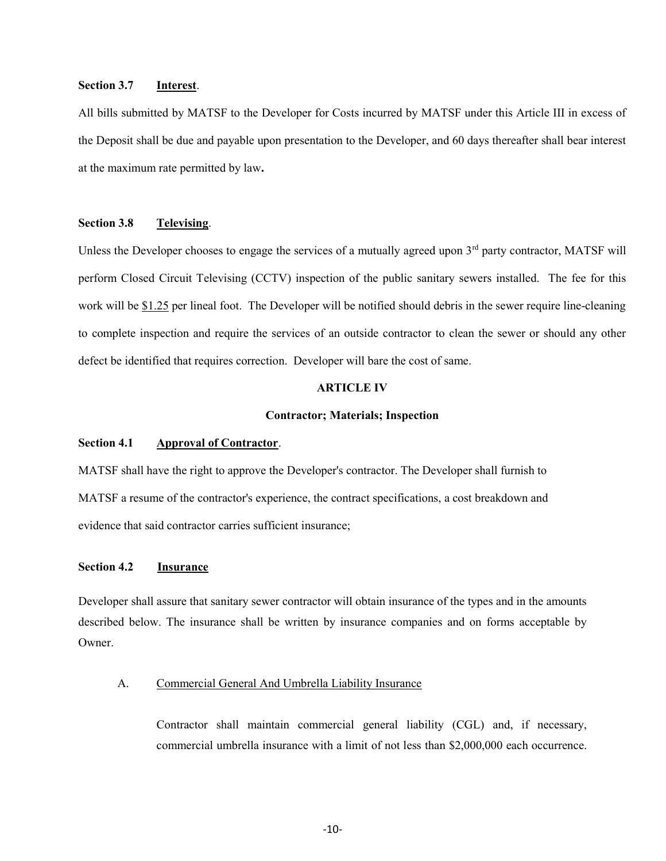# Section 3.7 Interest.

All bills submitted by MATSF to the Developer for Costs incurred by MATSF under this Article III in excess of the Deposit shall be due and payable upon presentation to the Developer, and 60 days thereafter shall bear interest at the maximum rate permitted by law.

# Section 3.8 Televising.

Unless the Developer chooses to engage the services of a mutually agreed upon  $3<sup>rd</sup>$  party contractor, MATSF will perform Closed Circuit Televising (CCTV) inspection of the public sanitary sewers installed. The fee for this work will be \$1.25 per lineal foot. The Developer will be notified should debris in the sewer require line-cleaning to complete inspection and require the services of an outside contractor to clean the sewer or should any other defect be identified that requires correction. Developer will bare the cost of same.

# ARTICLE IV

#### Contractor; Materials; Inspection

# Section 4.1 Approval of Contractor.

MATSF shall have the right to approve the Developer's contractor. The Developer shall furnish to MATSF a resume of the contractor's experience, the contract specifications, a cost breakdown and evidence that said contractor carries sufficient insurance;

## Section 4.2 **Insurance**

Developer shall assure that sanitary sewer contractor will obtain insurance of the types and in the amounts described below. The insurance shall be written by insurance companies and on forms acceptable by Owner.

### A. Commercial General And Umbrella Liability Insurance

Contractor shall maintain commercial general liability (CGL) and, if necessary, commercial umbrella insurance with a limit of not less than \$2,000,000 each occurrence.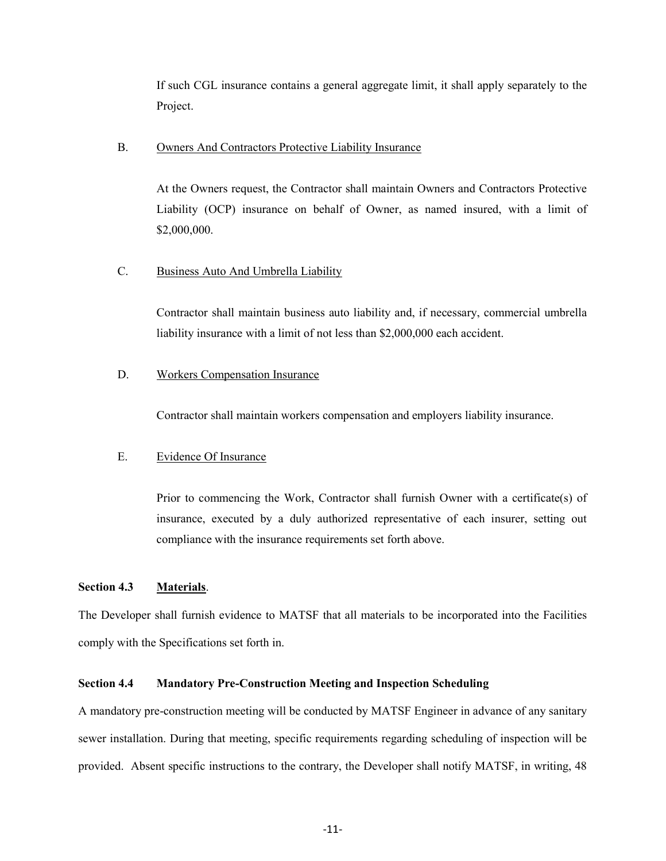If such CGL insurance contains a general aggregate limit, it shall apply separately to the Project.

### B. Owners And Contractors Protective Liability Insurance

At the Owners request, the Contractor shall maintain Owners and Contractors Protective Liability (OCP) insurance on behalf of Owner, as named insured, with a limit of \$2,000,000.

# C. Business Auto And Umbrella Liability

Contractor shall maintain business auto liability and, if necessary, commercial umbrella liability insurance with a limit of not less than \$2,000,000 each accident.

# D. Workers Compensation Insurance

Contractor shall maintain workers compensation and employers liability insurance.

### E. Evidence Of Insurance

Prior to commencing the Work, Contractor shall furnish Owner with a certificate(s) of insurance, executed by a duly authorized representative of each insurer, setting out compliance with the insurance requirements set forth above.

# Section 4.3 Materials.

The Developer shall furnish evidence to MATSF that all materials to be incorporated into the Facilities comply with the Specifications set forth in.

### Section 4.4 Mandatory Pre-Construction Meeting and Inspection Scheduling

A mandatory pre-construction meeting will be conducted by MATSF Engineer in advance of any sanitary sewer installation. During that meeting, specific requirements regarding scheduling of inspection will be provided. Absent specific instructions to the contrary, the Developer shall notify MATSF, in writing, 48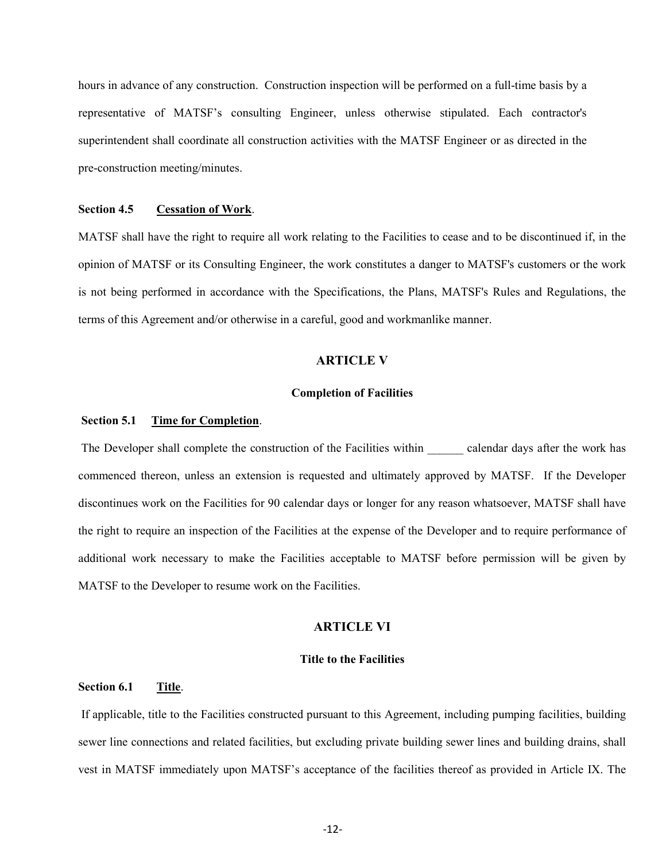hours in advance of any construction. Construction inspection will be performed on a full-time basis by a representative of MATSF's consulting Engineer, unless otherwise stipulated. Each contractor's superintendent shall coordinate all construction activities with the MATSF Engineer or as directed in the pre-construction meeting/minutes.

#### Section 4.5 Cessation of Work.

MATSF shall have the right to require all work relating to the Facilities to cease and to be discontinued if, in the opinion of MATSF or its Consulting Engineer, the work constitutes a danger to MATSF's customers or the work is not being performed in accordance with the Specifications, the Plans, MATSF's Rules and Regulations, the terms of this Agreement and/or otherwise in a careful, good and workmanlike manner.

# ARTICLE V

#### Completion of Facilities

# Section 5.1 Time for Completion.

The Developer shall complete the construction of the Facilities within calendar days after the work has commenced thereon, unless an extension is requested and ultimately approved by MATSF. If the Developer discontinues work on the Facilities for 90 calendar days or longer for any reason whatsoever, MATSF shall have the right to require an inspection of the Facilities at the expense of the Developer and to require performance of additional work necessary to make the Facilities acceptable to MATSF before permission will be given by MATSF to the Developer to resume work on the Facilities.

# ARTICLE VI

#### Title to the Facilities

# Section 6.1 Title.

 If applicable, title to the Facilities constructed pursuant to this Agreement, including pumping facilities, building sewer line connections and related facilities, but excluding private building sewer lines and building drains, shall vest in MATSF immediately upon MATSF's acceptance of the facilities thereof as provided in Article IX. The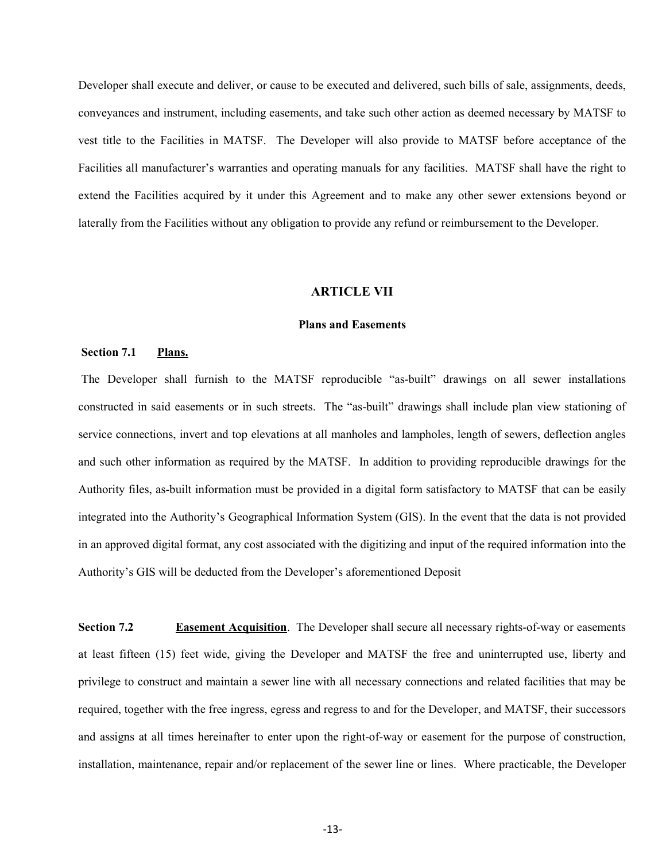Developer shall execute and deliver, or cause to be executed and delivered, such bills of sale, assignments, deeds, conveyances and instrument, including easements, and take such other action as deemed necessary by MATSF to vest title to the Facilities in MATSF. The Developer will also provide to MATSF before acceptance of the Facilities all manufacturer's warranties and operating manuals for any facilities. MATSF shall have the right to extend the Facilities acquired by it under this Agreement and to make any other sewer extensions beyond or laterally from the Facilities without any obligation to provide any refund or reimbursement to the Developer.

#### ARTICLE VII

#### Plans and Easements

#### Section 7.1 Plans.

 The Developer shall furnish to the MATSF reproducible "as-built" drawings on all sewer installations constructed in said easements or in such streets. The "as-built" drawings shall include plan view stationing of service connections, invert and top elevations at all manholes and lampholes, length of sewers, deflection angles and such other information as required by the MATSF. In addition to providing reproducible drawings for the Authority files, as-built information must be provided in a digital form satisfactory to MATSF that can be easily integrated into the Authority's Geographical Information System (GIS). In the event that the data is not provided in an approved digital format, any cost associated with the digitizing and input of the required information into the Authority's GIS will be deducted from the Developer's aforementioned Deposit

Section 7.2 Easement Acquisition. The Developer shall secure all necessary rights-of-way or easements at least fifteen (15) feet wide, giving the Developer and MATSF the free and uninterrupted use, liberty and privilege to construct and maintain a sewer line with all necessary connections and related facilities that may be required, together with the free ingress, egress and regress to and for the Developer, and MATSF, their successors and assigns at all times hereinafter to enter upon the right-of-way or easement for the purpose of construction, installation, maintenance, repair and/or replacement of the sewer line or lines. Where practicable, the Developer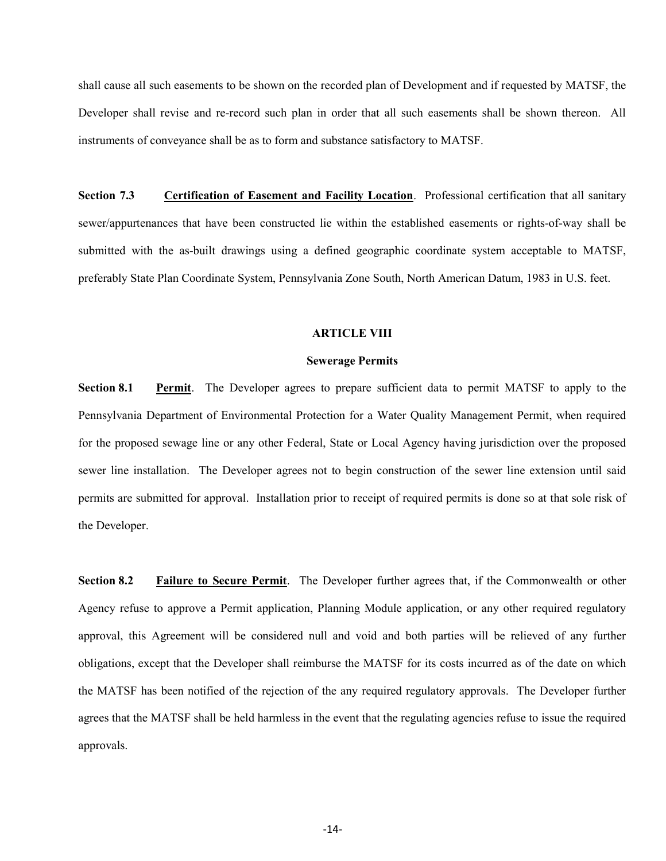shall cause all such easements to be shown on the recorded plan of Development and if requested by MATSF, the Developer shall revise and re-record such plan in order that all such easements shall be shown thereon. All instruments of conveyance shall be as to form and substance satisfactory to MATSF.

Section 7.3 Certification of Easement and Facility Location. Professional certification that all sanitary sewer/appurtenances that have been constructed lie within the established easements or rights-of-way shall be submitted with the as-built drawings using a defined geographic coordinate system acceptable to MATSF, preferably State Plan Coordinate System, Pennsylvania Zone South, North American Datum, 1983 in U.S. feet.

#### ARTICLE VIII

#### Sewerage Permits

Section 8.1 Permit. The Developer agrees to prepare sufficient data to permit MATSF to apply to the Pennsylvania Department of Environmental Protection for a Water Quality Management Permit, when required for the proposed sewage line or any other Federal, State or Local Agency having jurisdiction over the proposed sewer line installation. The Developer agrees not to begin construction of the sewer line extension until said permits are submitted for approval. Installation prior to receipt of required permits is done so at that sole risk of the Developer.

Section 8.2 Failure to Secure Permit. The Developer further agrees that, if the Commonwealth or other Agency refuse to approve a Permit application, Planning Module application, or any other required regulatory approval, this Agreement will be considered null and void and both parties will be relieved of any further obligations, except that the Developer shall reimburse the MATSF for its costs incurred as of the date on which the MATSF has been notified of the rejection of the any required regulatory approvals. The Developer further agrees that the MATSF shall be held harmless in the event that the regulating agencies refuse to issue the required approvals.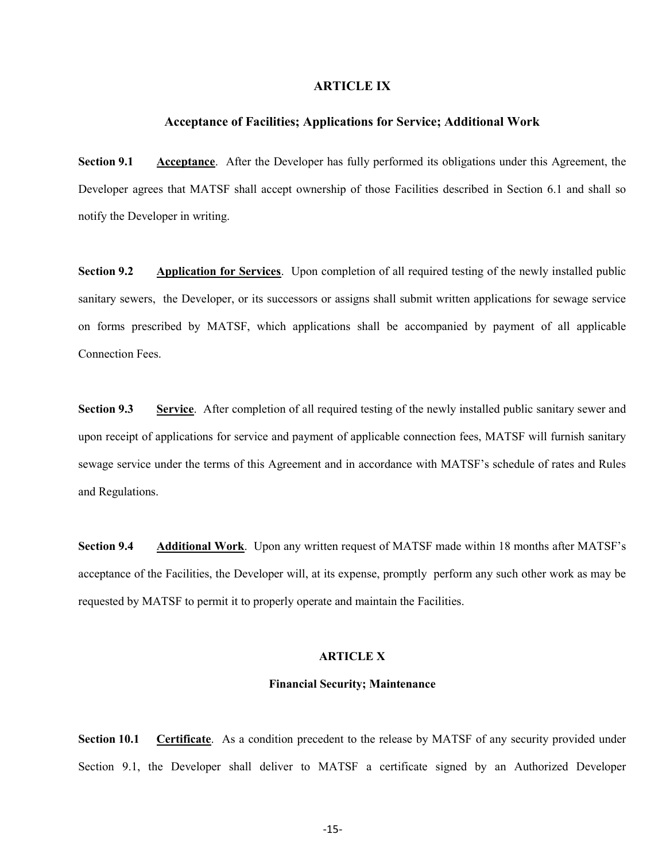# ARTICLE IX

# Acceptance of Facilities; Applications for Service; Additional Work

Section 9.1 Acceptance. After the Developer has fully performed its obligations under this Agreement, the Developer agrees that MATSF shall accept ownership of those Facilities described in Section 6.1 and shall so notify the Developer in writing.

Section 9.2 Application for Services. Upon completion of all required testing of the newly installed public sanitary sewers, the Developer, or its successors or assigns shall submit written applications for sewage service on forms prescribed by MATSF, which applications shall be accompanied by payment of all applicable Connection Fees.

Section 9.3 Service. After completion of all required testing of the newly installed public sanitary sewer and upon receipt of applications for service and payment of applicable connection fees, MATSF will furnish sanitary sewage service under the terms of this Agreement and in accordance with MATSF's schedule of rates and Rules and Regulations.

Section 9.4 Additional Work. Upon any written request of MATSF made within 18 months after MATSF's acceptance of the Facilities, the Developer will, at its expense, promptly perform any such other work as may be requested by MATSF to permit it to properly operate and maintain the Facilities.

#### ARTICLE X

#### Financial Security; Maintenance

Section 10.1 Certificate. As a condition precedent to the release by MATSF of any security provided under Section 9.1, the Developer shall deliver to MATSF a certificate signed by an Authorized Developer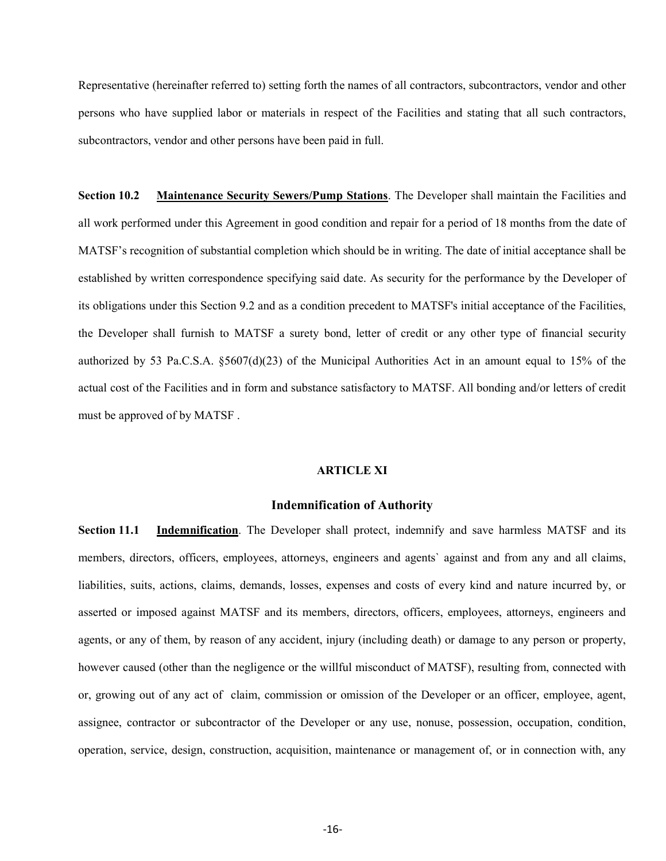Representative (hereinafter referred to) setting forth the names of all contractors, subcontractors, vendor and other persons who have supplied labor or materials in respect of the Facilities and stating that all such contractors, subcontractors, vendor and other persons have been paid in full.

Section 10.2 Maintenance Security Sewers/Pump Stations. The Developer shall maintain the Facilities and all work performed under this Agreement in good condition and repair for a period of 18 months from the date of MATSF's recognition of substantial completion which should be in writing. The date of initial acceptance shall be established by written correspondence specifying said date. As security for the performance by the Developer of its obligations under this Section 9.2 and as a condition precedent to MATSF's initial acceptance of the Facilities, the Developer shall furnish to MATSF a surety bond, letter of credit or any other type of financial security authorized by 53 Pa.C.S.A. §5607(d)(23) of the Municipal Authorities Act in an amount equal to 15% of the actual cost of the Facilities and in form and substance satisfactory to MATSF. All bonding and/or letters of credit must be approved of by MATSF .

### ARTICLE XI

# Indemnification of Authority

Section 11.1 Indemnification. The Developer shall protect, indemnify and save harmless MATSF and its members, directors, officers, employees, attorneys, engineers and agents` against and from any and all claims, liabilities, suits, actions, claims, demands, losses, expenses and costs of every kind and nature incurred by, or asserted or imposed against MATSF and its members, directors, officers, employees, attorneys, engineers and agents, or any of them, by reason of any accident, injury (including death) or damage to any person or property, however caused (other than the negligence or the willful misconduct of MATSF), resulting from, connected with or, growing out of any act of claim, commission or omission of the Developer or an officer, employee, agent, assignee, contractor or subcontractor of the Developer or any use, nonuse, possession, occupation, condition, operation, service, design, construction, acquisition, maintenance or management of, or in connection with, any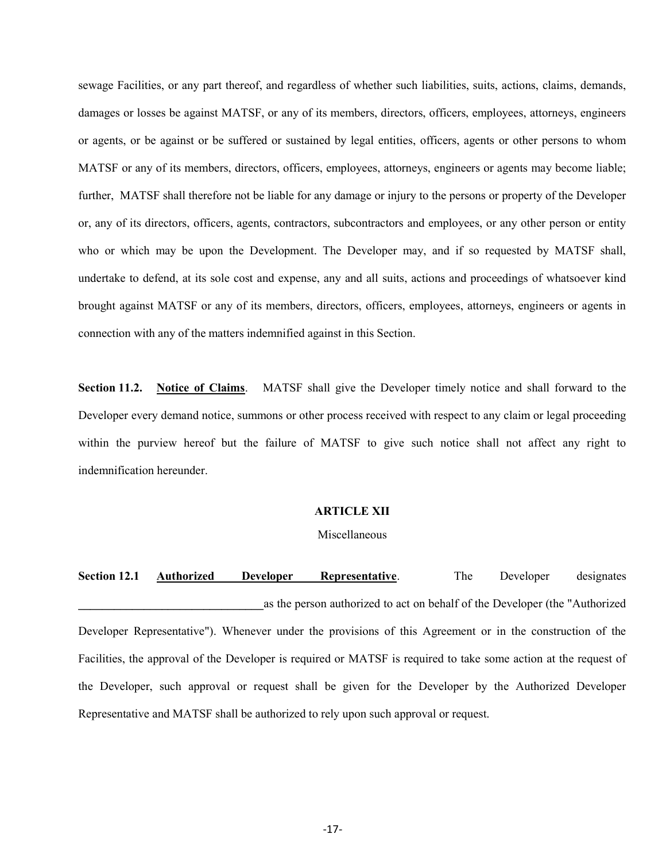sewage Facilities, or any part thereof, and regardless of whether such liabilities, suits, actions, claims, demands, damages or losses be against MATSF, or any of its members, directors, officers, employees, attorneys, engineers or agents, or be against or be suffered or sustained by legal entities, officers, agents or other persons to whom MATSF or any of its members, directors, officers, employees, attorneys, engineers or agents may become liable; further, MATSF shall therefore not be liable for any damage or injury to the persons or property of the Developer or, any of its directors, officers, agents, contractors, subcontractors and employees, or any other person or entity who or which may be upon the Development. The Developer may, and if so requested by MATSF shall, undertake to defend, at its sole cost and expense, any and all suits, actions and proceedings of whatsoever kind brought against MATSF or any of its members, directors, officers, employees, attorneys, engineers or agents in connection with any of the matters indemnified against in this Section.

Section 11.2. Notice of Claims. MATSF shall give the Developer timely notice and shall forward to the Developer every demand notice, summons or other process received with respect to any claim or legal proceeding within the purview hereof but the failure of MATSF to give such notice shall not affect any right to indemnification hereunder.

#### ARTICLE XII

### Miscellaneous

Section 12.1 Authorized Developer Representative. The Developer designates as the person authorized to act on behalf of the Developer (the "Authorized Developer Representative"). Whenever under the provisions of this Agreement or in the construction of the Facilities, the approval of the Developer is required or MATSF is required to take some action at the request of the Developer, such approval or request shall be given for the Developer by the Authorized Developer Representative and MATSF shall be authorized to rely upon such approval or request.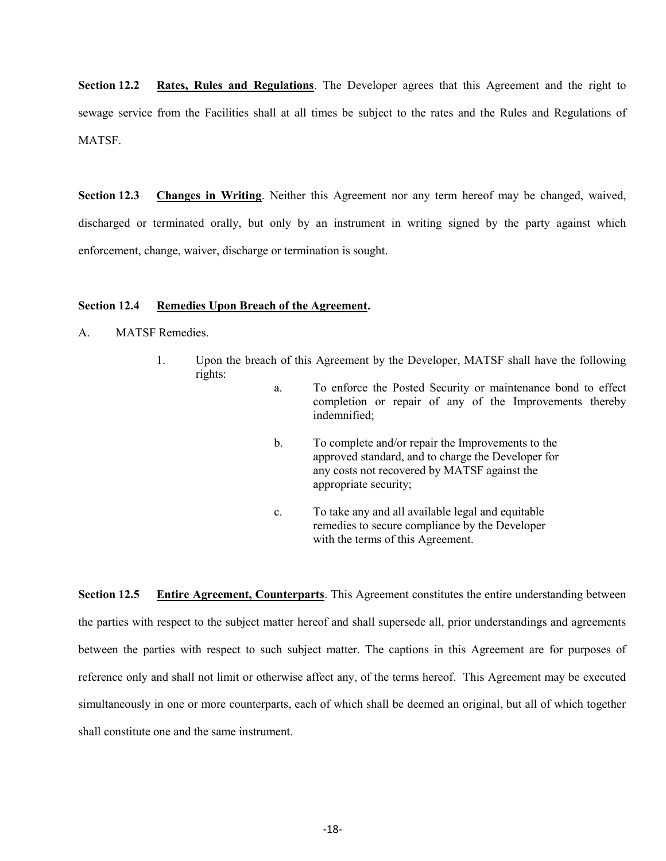Section 12.2 Rates, Rules and Regulations. The Developer agrees that this Agreement and the right to sewage service from the Facilities shall at all times be subject to the rates and the Rules and Regulations of **MATSF.** 

Section 12.3 Changes in Writing. Neither this Agreement nor any term hereof may be changed, waived, discharged or terminated orally, but only by an instrument in writing signed by the party against which enforcement, change, waiver, discharge or termination is sought.

# Section 12.4 Remedies Upon Breach of the Agreement.

- A. MATSF Remedies.
	- 1. Upon the breach of this Agreement by the Developer, MATSF shall have the following rights:
		- a. To enforce the Posted Security or maintenance bond to effect completion or repair of any of the Improvements thereby indemnified;
		- b. To complete and/or repair the Improvements to the approved standard, and to charge the Developer for any costs not recovered by MATSF against the appropriate security;
		- c. To take any and all available legal and equitable remedies to secure compliance by the Developer with the terms of this Agreement.

Section 12.5 Entire Agreement, Counterparts. This Agreement constitutes the entire understanding between the parties with respect to the subject matter hereof and shall supersede all, prior understandings and agreements between the parties with respect to such subject matter. The captions in this Agreement are for purposes of reference only and shall not limit or otherwise affect any, of the terms hereof. This Agreement may be executed simultaneously in one or more counterparts, each of which shall be deemed an original, but all of which together shall constitute one and the same instrument.